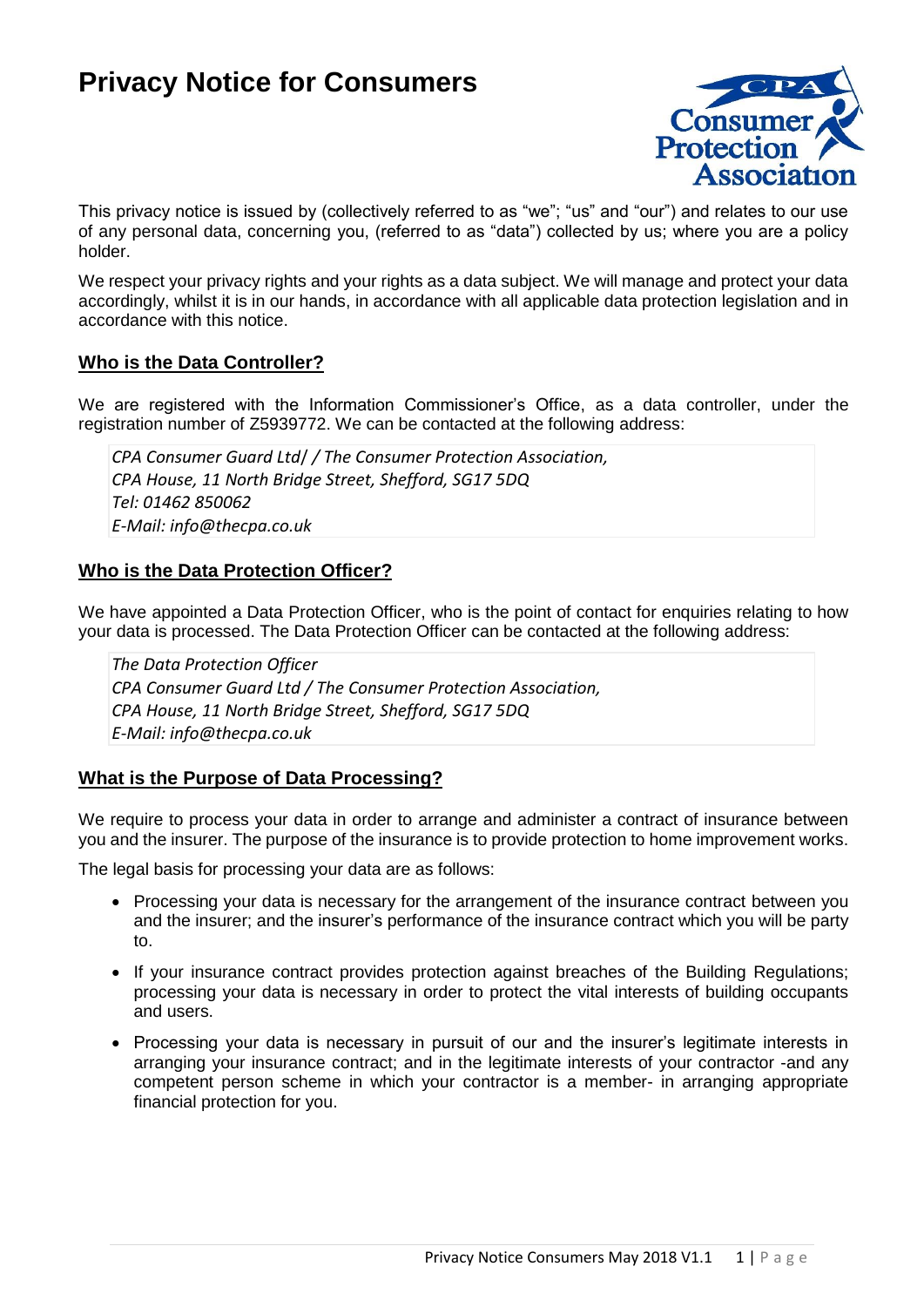# **Privacy Notice for Consumers**



This privacy notice is issued by (collectively referred to as "we"; "us" and "our") and relates to our use of any personal data, concerning you, (referred to as "data") collected by us; where you are a policy holder.

We respect your privacy rights and your rights as a data subject. We will manage and protect your data accordingly, whilst it is in our hands, in accordance with all applicable data protection legislation and in accordance with this notice.

## **Who is the Data Controller?**

We are registered with the Information Commissioner's Office, as a data controller, under the registration number of Z5939772. We can be contacted at the following address:

*CPA Consumer Guard Ltd*/ */ The Consumer Protection Association, CPA House, 11 North Bridge Street, Shefford, SG17 5DQ Tel: 01462 850062 E-Mail: info@thecpa.co.uk*

## **Who is the Data Protection Officer?**

We have appointed a Data Protection Officer, who is the point of contact for enquiries relating to how your data is processed. The Data Protection Officer can be contacted at the following address:

*The Data Protection Officer CPA Consumer Guard Ltd / The Consumer Protection Association, CPA House, 11 North Bridge Street, Shefford, SG17 5DQ E-Mail: info@thecpa.co.uk*

## **What is the Purpose of Data Processing?**

We require to process your data in order to arrange and administer a contract of insurance between you and the insurer. The purpose of the insurance is to provide protection to home improvement works.

The legal basis for processing your data are as follows:

- Processing your data is necessary for the arrangement of the insurance contract between you and the insurer; and the insurer's performance of the insurance contract which you will be party to.
- If your insurance contract provides protection against breaches of the Building Regulations; processing your data is necessary in order to protect the vital interests of building occupants and users.
- Processing your data is necessary in pursuit of our and the insurer's legitimate interests in arranging your insurance contract; and in the legitimate interests of your contractor -and any competent person scheme in which your contractor is a member- in arranging appropriate financial protection for you.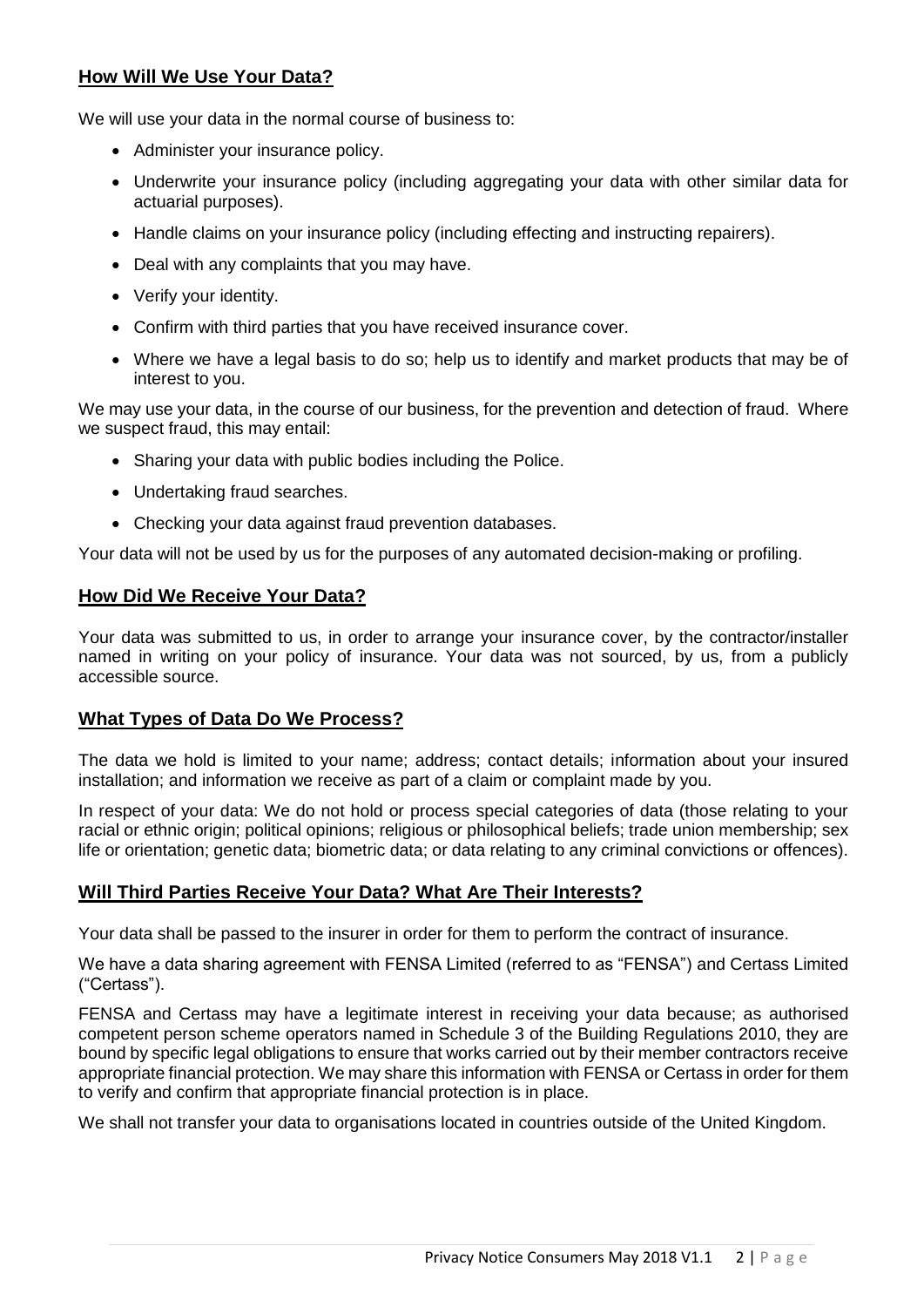# **How Will We Use Your Data?**

We will use your data in the normal course of business to:

- Administer your insurance policy.
- Underwrite your insurance policy (including aggregating your data with other similar data for actuarial purposes).
- Handle claims on your insurance policy (including effecting and instructing repairers).
- Deal with any complaints that you may have.
- Verify your identity.
- Confirm with third parties that you have received insurance cover.
- Where we have a legal basis to do so; help us to identify and market products that may be of interest to you.

We may use your data, in the course of our business, for the prevention and detection of fraud. Where we suspect fraud, this may entail:

- Sharing your data with public bodies including the Police.
- Undertaking fraud searches.
- Checking your data against fraud prevention databases.

Your data will not be used by us for the purposes of any automated decision-making or profiling.

## **How Did We Receive Your Data?**

Your data was submitted to us, in order to arrange your insurance cover, by the contractor/installer named in writing on your policy of insurance. Your data was not sourced, by us, from a publicly accessible source.

## **What Types of Data Do We Process?**

The data we hold is limited to your name; address; contact details; information about your insured installation; and information we receive as part of a claim or complaint made by you.

In respect of your data: We do not hold or process special categories of data (those relating to your racial or ethnic origin; political opinions; religious or philosophical beliefs; trade union membership; sex life or orientation; genetic data; biometric data; or data relating to any criminal convictions or offences).

# **Will Third Parties Receive Your Data? What Are Their Interests?**

Your data shall be passed to the insurer in order for them to perform the contract of insurance.

We have a data sharing agreement with FENSA Limited (referred to as "FENSA") and Certass Limited ("Certass").

FENSA and Certass may have a legitimate interest in receiving your data because; as authorised competent person scheme operators named in Schedule 3 of the Building Regulations 2010, they are bound by specific legal obligations to ensure that works carried out by their member contractors receive appropriate financial protection. We may share this information with FENSA or Certass in order for them to verify and confirm that appropriate financial protection is in place.

We shall not transfer your data to organisations located in countries outside of the United Kingdom.